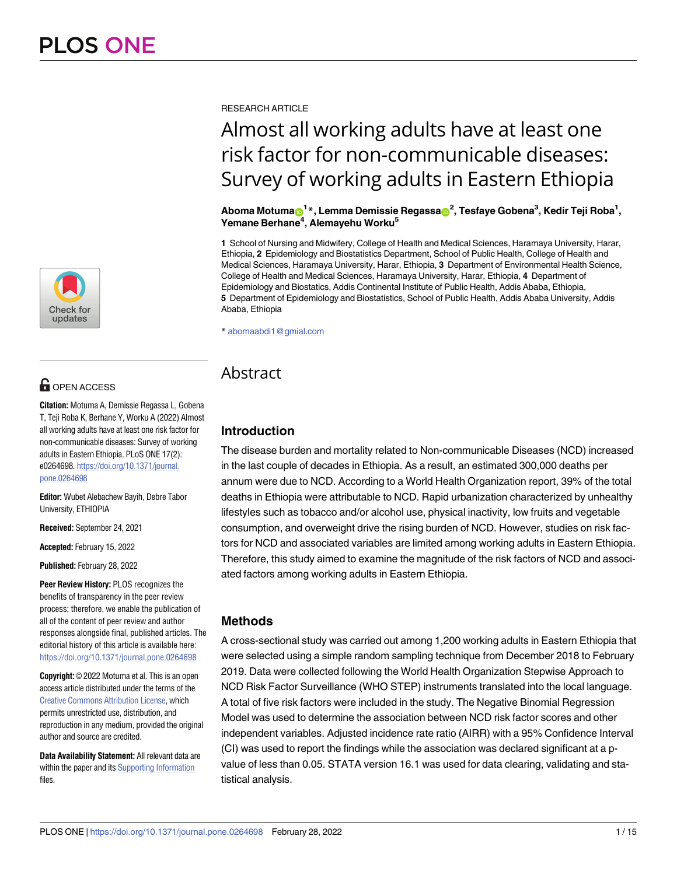

# **OPEN ACCESS**

**Citation:** Motuma A, Demissie Regassa L, Gobena T, Teji Roba K, Berhane Y, Worku A (2022) Almost all working adults have at least one risk factor for non-communicable diseases: Survey of working adults in Eastern Ethiopia. PLoS ONE 17(2): e0264698. [https://doi.org/10.1371/journal.](https://doi.org/10.1371/journal.pone.0264698) [pone.0264698](https://doi.org/10.1371/journal.pone.0264698)

**Editor:** Wubet Alebachew Bayih, Debre Tabor University, ETHIOPIA

**Received:** September 24, 2021

**Accepted:** February 15, 2022

**Published:** February 28, 2022

**Peer Review History:** PLOS recognizes the benefits of transparency in the peer review process; therefore, we enable the publication of all of the content of peer review and author responses alongside final, published articles. The editorial history of this article is available here: <https://doi.org/10.1371/journal.pone.0264698>

**Copyright:** © 2022 Motuma et al. This is an open access article distributed under the terms of the Creative Commons [Attribution](http://creativecommons.org/licenses/by/4.0/) License, which permits unrestricted use, distribution, and reproduction in any medium, provided the original author and source are credited.

**Data Availability Statement:** All relevant data are within the paper and its Supporting [Information](#page-11-0) files.

RESEARCH ARTICLE

# Almost all working adults have at least one risk factor for non-communicable diseases: Survey of working adults in Eastern Ethiopia

 $\Delta$ boma Motuma $\textbf{D}^{1*}$ , Lemma Demissie Regassa $\textbf{D}^{2}$ , Tesfaye Gobena $^{3}$ , Kedir Teji Roba $^{1}$ , **Yemane Berhane4 , Alemayehu Worku5**

**1** School of Nursing and Midwifery, College of Health and Medical Sciences, Haramaya University, Harar, Ethiopia, **2** Epidemiology and Biostatistics Department, School of Public Health, College of Health and Medical Sciences, Haramaya University, Harar, Ethiopia, **3** Department of Environmental Health Science, College of Health and Medical Sciences, Haramaya University, Harar, Ethiopia, **4** Department of Epidemiology and Biostatics, Addis Continental Institute of Public Health, Addis Ababa, Ethiopia, **5** Department of Epidemiology and Biostatistics, School of Public Health, Addis Ababa University, Addis Ababa, Ethiopia

\* abomaabdi1@gmial.com

# **Abstract**

# **Introduction**

The disease burden and mortality related to Non-communicable Diseases (NCD) increased in the last couple of decades in Ethiopia. As a result, an estimated 300,000 deaths per annum were due to NCD. According to a World Health Organization report, 39% of the total deaths in Ethiopia were attributable to NCD. Rapid urbanization characterized by unhealthy lifestyles such as tobacco and/or alcohol use, physical inactivity, low fruits and vegetable consumption, and overweight drive the rising burden of NCD. However, studies on risk factors for NCD and associated variables are limited among working adults in Eastern Ethiopia. Therefore, this study aimed to examine the magnitude of the risk factors of NCD and associated factors among working adults in Eastern Ethiopia.

# **Methods**

A cross-sectional study was carried out among 1,200 working adults in Eastern Ethiopia that were selected using a simple random sampling technique from December 2018 to February 2019. Data were collected following the World Health Organization Stepwise Approach to NCD Risk Factor Surveillance (WHO STEP) instruments translated into the local language. A total of five risk factors were included in the study. The Negative Binomial Regression Model was used to determine the association between NCD risk factor scores and other independent variables. Adjusted incidence rate ratio (AIRR) with a 95% Confidence Interval (CI) was used to report the findings while the association was declared significant at a pvalue of less than 0.05. STATA version 16.1 was used for data clearing, validating and statistical analysis.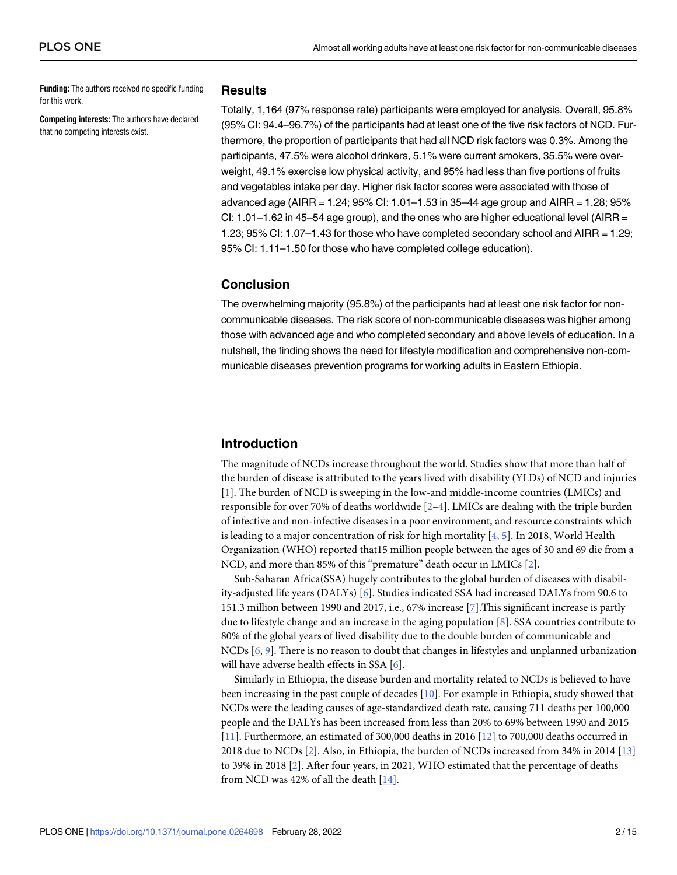<span id="page-1-0"></span>**Funding:** The authors received no specific funding for this work.

**Competing interests:** The authors have declared that no competing interests exist.

#### **Results**

Totally, 1,164 (97% response rate) participants were employed for analysis. Overall, 95.8% (95% CI: 94.4–96.7%) of the participants had at least one of the five risk factors of NCD. Furthermore, the proportion of participants that had all NCD risk factors was 0.3%. Among the participants, 47.5% were alcohol drinkers, 5.1% were current smokers, 35.5% were overweight, 49.1% exercise low physical activity, and 95% had less than five portions of fruits and vegetables intake per day. Higher risk factor scores were associated with those of advanced age (AIRR = 1.24;  $95\%$  CI: 1.01–1.53 in 35–44 age group and AIRR = 1.28;  $95\%$ CI: 1.01–1.62 in 45–54 age group), and the ones who are higher educational level (AIRR  $=$ 1.23; 95% CI: 1.07–1.43 for those who have completed secondary school and AIRR = 1.29; 95% CI: 1.11–1.50 for those who have completed college education).

# **Conclusion**

The overwhelming majority (95.8%) of the participants had at least one risk factor for noncommunicable diseases. The risk score of non-communicable diseases was higher among those with advanced age and who completed secondary and above levels of education. In a nutshell, the finding shows the need for lifestyle modification and comprehensive non-communicable diseases prevention programs for working adults in Eastern Ethiopia.

# **Introduction**

The magnitude of NCDs increase throughout the world. Studies show that more than half of the burden of disease is attributed to the years lived with disability (YLDs) of NCD and injuries [\[1](#page-12-0)]. The burden of NCD is sweeping in the low-and middle-income countries (LMICs) and responsible for over 70% of deaths worldwide [\[2–4](#page-12-0)]. LMICs are dealing with the triple burden of infective and non-infective diseases in a poor environment, and resource constraints which is leading to a major concentration of risk for high mortality [[4](#page-12-0), [5\]](#page-12-0). In 2018, World Health Organization (WHO) reported that15 million people between the ages of 30 and 69 die from a NCD, and more than 85% of this "premature" death occur in LMICs [[2\]](#page-12-0).

Sub-Saharan Africa(SSA) hugely contributes to the global burden of diseases with disability-adjusted life years (DALYs) [\[6](#page-12-0)]. Studies indicated SSA had increased DALYs from 90.6 to 151.3 million between 1990 and 2017, i.e., 67% increase [\[7\]](#page-12-0).This significant increase is partly due to lifestyle change and an increase in the aging population [\[8](#page-12-0)]. SSA countries contribute to 80% of the global years of lived disability due to the double burden of communicable and NCDs [[6](#page-12-0), [9\]](#page-12-0). There is no reason to doubt that changes in lifestyles and unplanned urbanization will have adverse health effects in SSA [[6\]](#page-12-0).

Similarly in Ethiopia, the disease burden and mortality related to NCDs is believed to have been increasing in the past couple of decades [\[10\]](#page-12-0). For example in Ethiopia, study showed that NCDs were the leading causes of age-standardized death rate, causing 711 deaths per 100,000 people and the DALYs has been increased from less than 20% to 69% between 1990 and 2015 [\[11\]](#page-13-0). Furthermore, an estimated of 300,000 deaths in 2016 [[12](#page-13-0)] to 700,000 deaths occurred in 2018 due to NCDs [\[2\]](#page-12-0). Also, in Ethiopia, the burden of NCDs increased from 34% in 2014 [\[13\]](#page-13-0) to 39% in 2018 [[2](#page-12-0)]. After four years, in 2021, WHO estimated that the percentage of deaths from NCD was 42% of all the death [[14](#page-13-0)].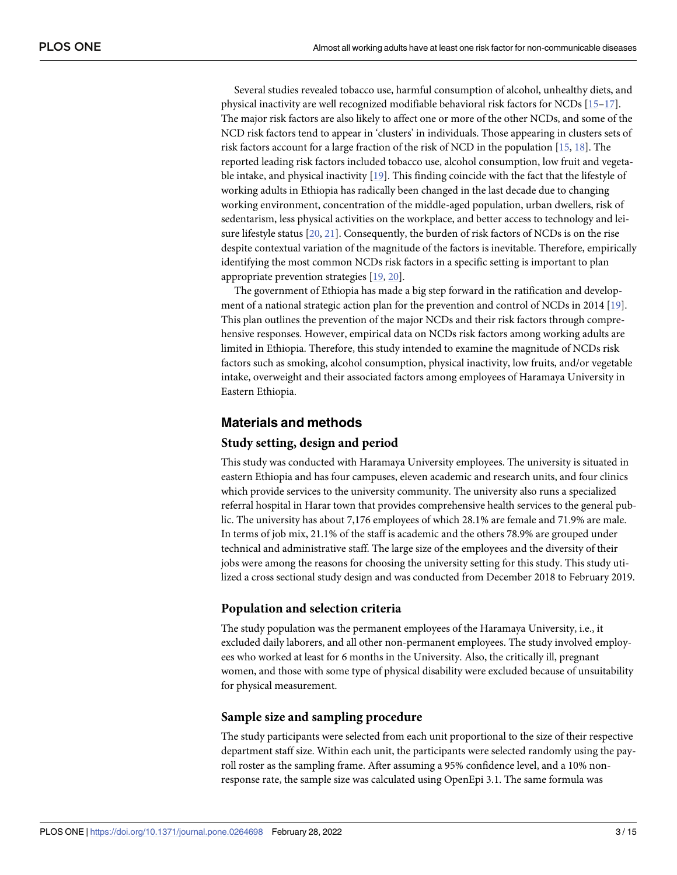<span id="page-2-0"></span>Several studies revealed tobacco use, harmful consumption of alcohol, unhealthy diets, and physical inactivity are well recognized modifiable behavioral risk factors for NCDs [\[15–17](#page-13-0)]. The major risk factors are also likely to affect one or more of the other NCDs, and some of the NCD risk factors tend to appear in 'clusters' in individuals. Those appearing in clusters sets of risk factors account for a large fraction of the risk of NCD in the population [[15](#page-13-0), [18](#page-13-0)]. The reported leading risk factors included tobacco use, alcohol consumption, low fruit and vegetable intake, and physical inactivity [[19](#page-13-0)]. This finding coincide with the fact that the lifestyle of working adults in Ethiopia has radically been changed in the last decade due to changing working environment, concentration of the middle-aged population, urban dwellers, risk of sedentarism, less physical activities on the workplace, and better access to technology and leisure lifestyle status [[20](#page-13-0), [21](#page-13-0)]. Consequently, the burden of risk factors of NCDs is on the rise despite contextual variation of the magnitude of the factors is inevitable. Therefore, empirically identifying the most common NCDs risk factors in a specific setting is important to plan appropriate prevention strategies [\[19,](#page-13-0) [20\]](#page-13-0).

The government of Ethiopia has made a big step forward in the ratification and development of a national strategic action plan for the prevention and control of NCDs in 2014 [\[19\]](#page-13-0). This plan outlines the prevention of the major NCDs and their risk factors through comprehensive responses. However, empirical data on NCDs risk factors among working adults are limited in Ethiopia. Therefore, this study intended to examine the magnitude of NCDs risk factors such as smoking, alcohol consumption, physical inactivity, low fruits, and/or vegetable intake, overweight and their associated factors among employees of Haramaya University in Eastern Ethiopia.

## **Materials and methods**

#### **Study setting, design and period**

This study was conducted with Haramaya University employees. The university is situated in eastern Ethiopia and has four campuses, eleven academic and research units, and four clinics which provide services to the university community. The university also runs a specialized referral hospital in Harar town that provides comprehensive health services to the general public. The university has about 7,176 employees of which 28.1% are female and 71.9% are male. In terms of job mix, 21.1% of the staff is academic and the others 78.9% are grouped under technical and administrative staff. The large size of the employees and the diversity of their jobs were among the reasons for choosing the university setting for this study. This study utilized a cross sectional study design and was conducted from December 2018 to February 2019.

#### **Population and selection criteria**

The study population was the permanent employees of the Haramaya University, i.e., it excluded daily laborers, and all other non-permanent employees. The study involved employees who worked at least for 6 months in the University. Also, the critically ill, pregnant women, and those with some type of physical disability were excluded because of unsuitability for physical measurement.

#### **Sample size and sampling procedure**

The study participants were selected from each unit proportional to the size of their respective department staff size. Within each unit, the participants were selected randomly using the payroll roster as the sampling frame. After assuming a 95% confidence level, and a 10% nonresponse rate, the sample size was calculated using OpenEpi 3.1. The same formula was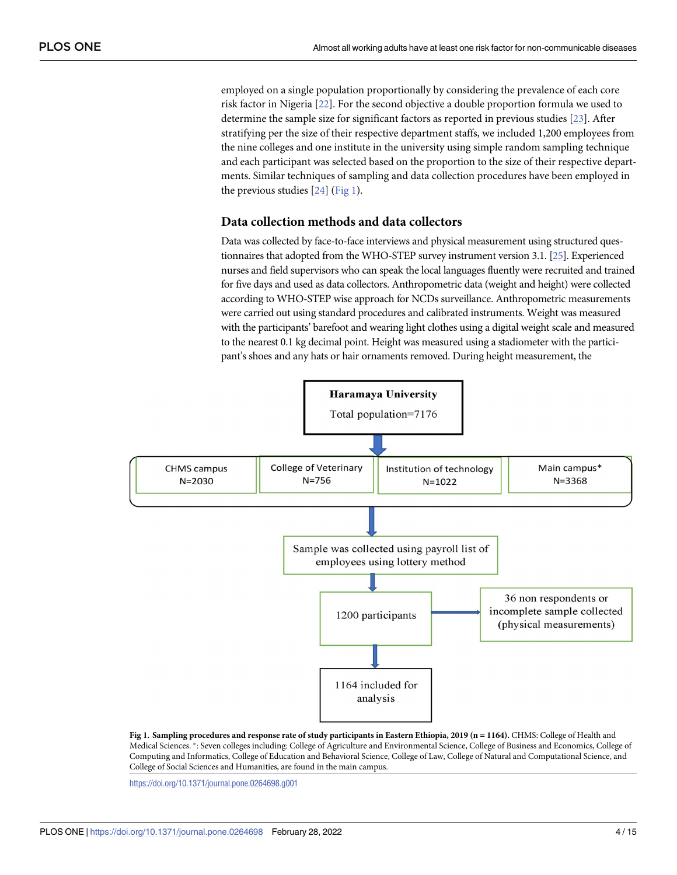<span id="page-3-0"></span>employed on a single population proportionally by considering the prevalence of each core risk factor in Nigeria [\[22\]](#page-13-0). For the second objective a double proportion formula we used to determine the sample size for significant factors as reported in previous studies [[23](#page-13-0)]. After stratifying per the size of their respective department staffs, we included 1,200 employees from the nine colleges and one institute in the university using simple random sampling technique and each participant was selected based on the proportion to the size of their respective departments. Similar techniques of sampling and data collection procedures have been employed in the previous studies [\[24\]](#page-13-0) (Fig 1).

# **Data collection methods and data collectors**

Data was collected by face-to-face interviews and physical measurement using structured questionnaires that adopted from the WHO-STEP survey instrument version 3.1. [\[25](#page-13-0)]. Experienced nurses and field supervisors who can speak the local languages fluently were recruited and trained for five days and used as data collectors. Anthropometric data (weight and height) were collected according to WHO-STEP wise approach for NCDs surveillance. Anthropometric measurements were carried out using standard procedures and calibrated instruments. Weight was measured with the participants' barefoot and wearing light clothes using a digital weight scale and measured to the nearest 0.1 kg decimal point. Height was measured using a stadiometer with the participant's shoes and any hats or hair ornaments removed. During height measurement, the



Fig 1. Sampling procedures and response rate of study participants in Eastern Ethiopia, 2019 (n = 1164). CHMS: College of Health and Medical Sciences. �: Seven colleges including: College of Agriculture and Environmental Science, College of Business and Economics, College of Computing and Informatics, College of Education and Behavioral Science, College of Law, College of Natural and Computational Science, and College of Social Sciences and Humanities, are found in the main campus.

<https://doi.org/10.1371/journal.pone.0264698.g001>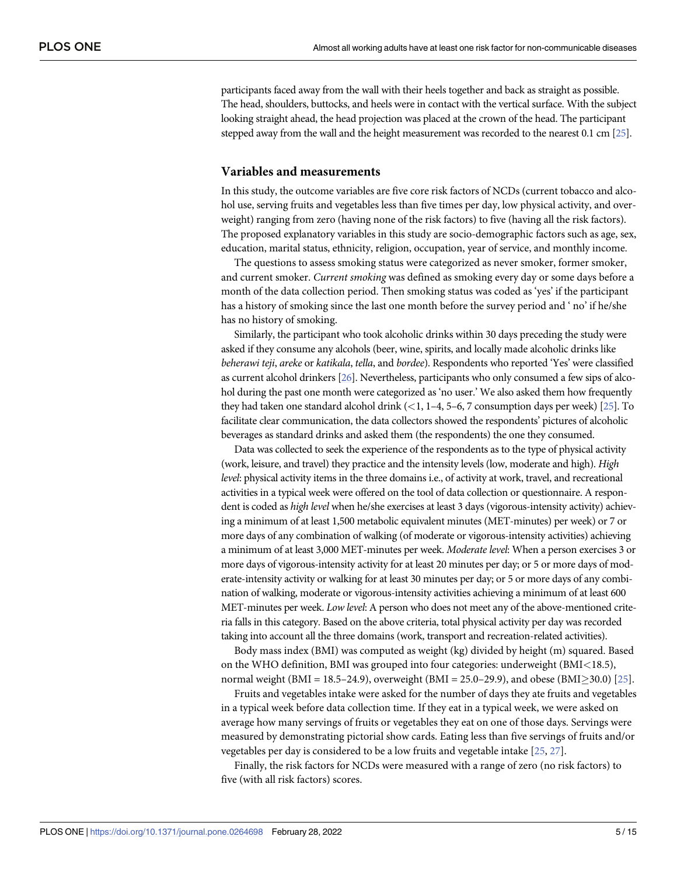participants faced away from the wall with their heels together and back as straight as possible. The head, shoulders, buttocks, and heels were in contact with the vertical surface. With the subject looking straight ahead, the head projection was placed at the crown of the head. The participant stepped away from the wall and the height measurement was recorded to the nearest 0.1 cm [\[25](#page-13-0)].

#### **Variables and measurements**

In this study, the outcome variables are five core risk factors of NCDs (current tobacco and alcohol use, serving fruits and vegetables less than five times per day, low physical activity, and overweight) ranging from zero (having none of the risk factors) to five (having all the risk factors). The proposed explanatory variables in this study are socio-demographic factors such as age, sex, education, marital status, ethnicity, religion, occupation, year of service, and monthly income.

The questions to assess smoking status were categorized as never smoker, former smoker, and current smoker. *Current smoking* was defined as smoking every day or some days before a month of the data collection period. Then smoking status was coded as 'yes' if the participant has a history of smoking since the last one month before the survey period and ' no' if he/she has no history of smoking.

Similarly, the participant who took alcoholic drinks within 30 days preceding the study were asked if they consume any alcohols (beer, wine, spirits, and locally made alcoholic drinks like *beherawi teji*, *areke* or *katikala*, *tella*, and *bordee*). Respondents who reported 'Yes' were classified as current alcohol drinkers [\[26](#page-13-0)]. Nevertheless, participants who only consumed a few sips of alcohol during the past one month were categorized as 'no user.' We also asked them how frequently they had taken one standard alcohol drink (*<*1, 1–4, 5–6, 7 consumption days per week) [\[25](#page-13-0)]. To facilitate clear communication, the data collectors showed the respondents' pictures of alcoholic beverages as standard drinks and asked them (the respondents) the one they consumed.

Data was collected to seek the experience of the respondents as to the type of physical activity (work, leisure, and travel) they practice and the intensity levels (low, moderate and high). *High level*: physical activity items in the three domains i.e., of activity at work, travel, and recreational activities in a typical week were offered on the tool of data collection or questionnaire. A respondent is coded as *high level* when he/she exercises at least 3 days (vigorous-intensity activity) achieving a minimum of at least 1,500 metabolic equivalent minutes (MET-minutes) per week) or 7 or more days of any combination of walking (of moderate or vigorous-intensity activities) achieving a minimum of at least 3,000 MET-minutes per week. *Moderate level*: When a person exercises 3 or more days of vigorous-intensity activity for at least 20 minutes per day; or 5 or more days of moderate-intensity activity or walking for at least 30 minutes per day; or 5 or more days of any combination of walking, moderate or vigorous-intensity activities achieving a minimum of at least 600 MET-minutes per week. *Low level*: A person who does not meet any of the above-mentioned criteria falls in this category. Based on the above criteria, total physical activity per day was recorded taking into account all the three domains (work, transport and recreation-related activities).

Body mass index (BMI) was computed as weight (kg) divided by height (m) squared. Based on the WHO definition, BMI was grouped into four categories: underweight (BMI*<*18.5), normal weight (BMI = 18.5–24.9), overweight (BMI = [25](#page-13-0).0–29.9), and obese (BMI $>$ 30.0) [25].

Fruits and vegetables intake were asked for the number of days they ate fruits and vegetables in a typical week before data collection time. If they eat in a typical week, we were asked on average how many servings of fruits or vegetables they eat on one of those days. Servings were measured by demonstrating pictorial show cards. Eating less than five servings of fruits and/or vegetables per day is considered to be a low fruits and vegetable intake [\[25,](#page-13-0) [27\]](#page-13-0).

Finally, the risk factors for NCDs were measured with a range of zero (no risk factors) to five (with all risk factors) scores.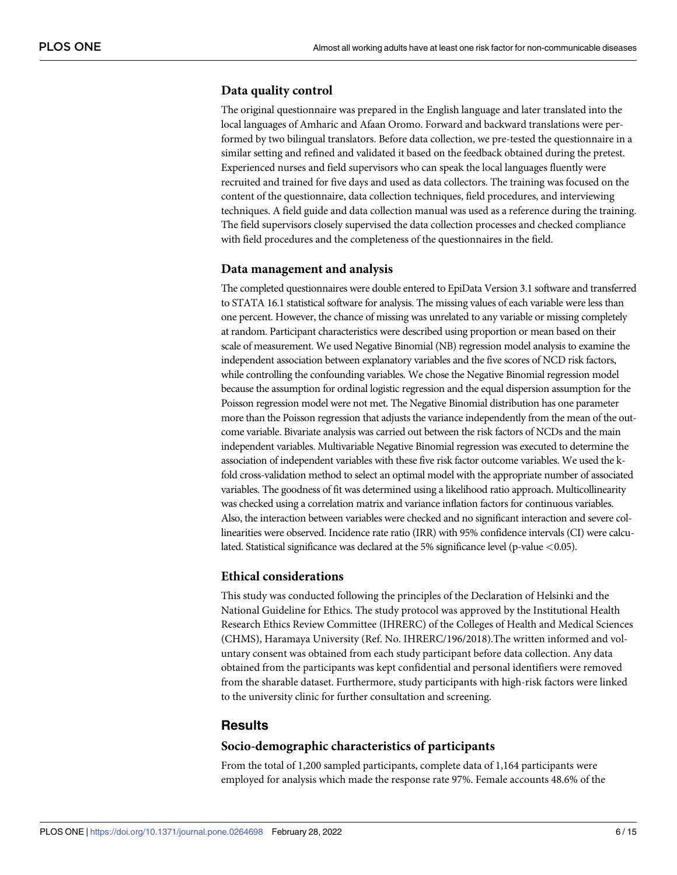# **Data quality control**

The original questionnaire was prepared in the English language and later translated into the local languages of Amharic and Afaan Oromo. Forward and backward translations were performed by two bilingual translators. Before data collection, we pre-tested the questionnaire in a similar setting and refined and validated it based on the feedback obtained during the pretest. Experienced nurses and field supervisors who can speak the local languages fluently were recruited and trained for five days and used as data collectors. The training was focused on the content of the questionnaire, data collection techniques, field procedures, and interviewing techniques. A field guide and data collection manual was used as a reference during the training. The field supervisors closely supervised the data collection processes and checked compliance with field procedures and the completeness of the questionnaires in the field.

## **Data management and analysis**

The completed questionnaires were double entered to EpiData Version 3.1 software and transferred to STATA 16.1 statistical software for analysis. The missing values of each variable were less than one percent. However, the chance of missing was unrelated to any variable or missing completely at random. Participant characteristics were described using proportion or mean based on their scale of measurement. We used Negative Binomial (NB) regression model analysis to examine the independent association between explanatory variables and the five scores of NCD risk factors, while controlling the confounding variables. We chose the Negative Binomial regression model because the assumption for ordinal logistic regression and the equal dispersion assumption for the Poisson regression model were not met. The Negative Binomial distribution has one parameter more than the Poisson regression that adjusts the variance independently from the mean of the outcome variable. Bivariate analysis was carried out between the risk factors of NCDs and the main independent variables. Multivariable Negative Binomial regression was executed to determine the association of independent variables with these five risk factor outcome variables. We used the kfold cross-validation method to select an optimal model with the appropriate number of associated variables. The goodness of fit was determined using a likelihood ratio approach. Multicollinearity was checked using a correlation matrix and variance inflation factors for continuous variables. Also, the interaction between variables were checked and no significant interaction and severe collinearities were observed. Incidence rate ratio (IRR) with 95% confidence intervals (CI) were calculated. Statistical significance was declared at the 5% significance level (p-value *<*0.05).

#### **Ethical considerations**

This study was conducted following the principles of the Declaration of Helsinki and the National Guideline for Ethics. The study protocol was approved by the Institutional Health Research Ethics Review Committee (IHRERC) of the Colleges of Health and Medical Sciences (CHMS), Haramaya University (Ref. No. IHRERC/196/2018).The written informed and voluntary consent was obtained from each study participant before data collection. Any data obtained from the participants was kept confidential and personal identifiers were removed from the sharable dataset. Furthermore, study participants with high-risk factors were linked to the university clinic for further consultation and screening.

# **Results**

#### **Socio-demographic characteristics of participants**

From the total of 1,200 sampled participants, complete data of 1,164 participants were employed for analysis which made the response rate 97%. Female accounts 48.6% of the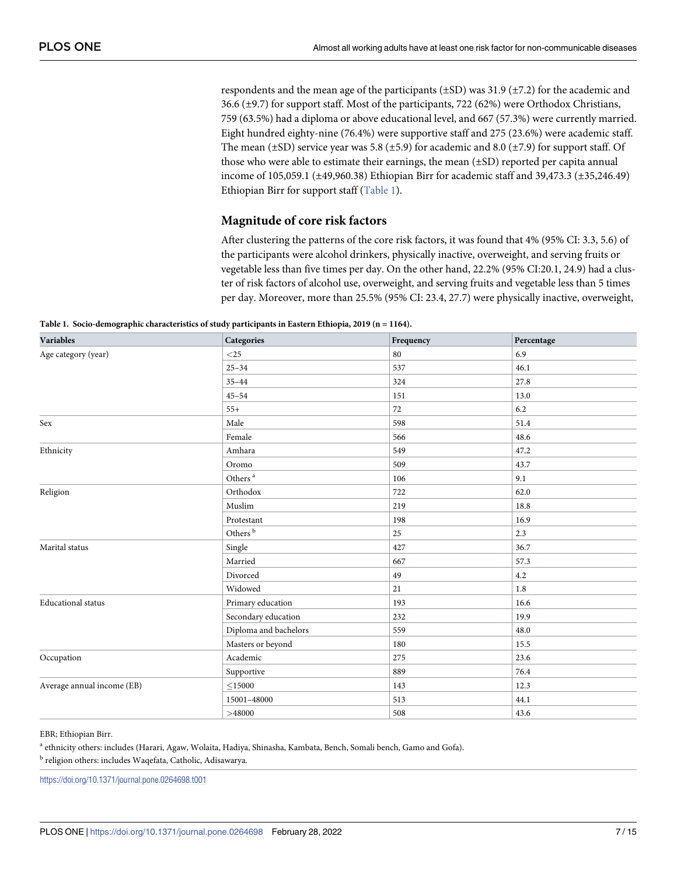respondents and the mean age of the participants (±SD) was 31.9 (±7.2) for the academic and 36.6 (±9.7) for support staff. Most of the participants, 722 (62%) were Orthodox Christians, 759 (63.5%) had a diploma or above educational level, and 667 (57.3%) were currently married. Eight hundred eighty-nine (76.4%) were supportive staff and 275 (23.6%) were academic staff. The mean ( $\pm$ SD) service year was 5.8 ( $\pm$ 5.9) for academic and 8.0 ( $\pm$ 7.9) for support staff. Of those who were able to estimate their earnings, the mean (±SD) reported per capita annual income of 105,059.1 (±49,960.38) Ethiopian Birr for academic staff and 39,473.3 (±35,246.49) Ethiopian Birr for support staff (Table 1).

## **Magnitude of core risk factors**

After clustering the patterns of the core risk factors, it was found that 4% (95% CI: 3.3, 5.6) of the participants were alcohol drinkers, physically inactive, overweight, and serving fruits or vegetable less than five times per day. On the other hand, 22.2% (95% CI:20.1, 24.9) had a cluster of risk factors of alcohol use, overweight, and serving fruits and vegetable less than 5 times per day. Moreover, more than 25.5% (95% CI: 23.4, 27.7) were physically inactive, overweight,

| <b>Variables</b>           | Categories            | Frequency | Percentage |
|----------------------------|-----------------------|-----------|------------|
| Age category (year)        | $<$ 25                | 80        | 6.9        |
|                            | $25 - 34$             | 537       | 46.1       |
|                            | $35 - 44$             | 324       | 27.8       |
|                            | $45 - 54$             | 151       | 13.0       |
|                            | $55+$                 | 72        | 6.2        |
| Sex                        | Male                  | 598       | 51.4       |
|                            | Female                | 566       | 48.6       |
| Ethnicity                  | Amhara                | 549       | 47.2       |
|                            | Oromo                 | 509       | 43.7       |
|                            | Others $^{\rm a}$     | 106       | 9.1        |
| Religion                   | Orthodox              | 722       | 62.0       |
|                            | Muslim                | 219       | 18.8       |
|                            | Protestant            | 198       | 16.9       |
|                            | Others $^{\rm b}$     | 25        | 2.3        |
| Marital status             | Single                | 427       | 36.7       |
|                            | Married               | 667       | 57.3       |
|                            | Divorced              | 49        | 4.2        |
|                            | Widowed               | 21        | 1.8        |
| <b>Educational</b> status  | Primary education     | 193       | 16.6       |
|                            | Secondary education   | 232       | 19.9       |
|                            | Diploma and bachelors | 559       | 48.0       |
|                            | Masters or beyond     | 180       | 15.5       |
| Occupation                 | Academic              | 275       | 23.6       |
|                            | Supportive            | 889       | 76.4       |
| Average annual income (EB) | $\leq$ 15000          | 143       | 12.3       |
|                            | 15001-48000           | 513       | 44.1       |
|                            | >48000                | 508       | 43.6       |

EBR; Ethiopian Birr.

<sup>a</sup> ethnicity others: includes (Harari, Agaw, Wolaita, Hadiya, Shinasha, Kambata, Bench, Somali bench, Gamo and Gofa).

<sup>b</sup> religion others: includes Waqefata, Catholic, Adisawarya.

<https://doi.org/10.1371/journal.pone.0264698.t001>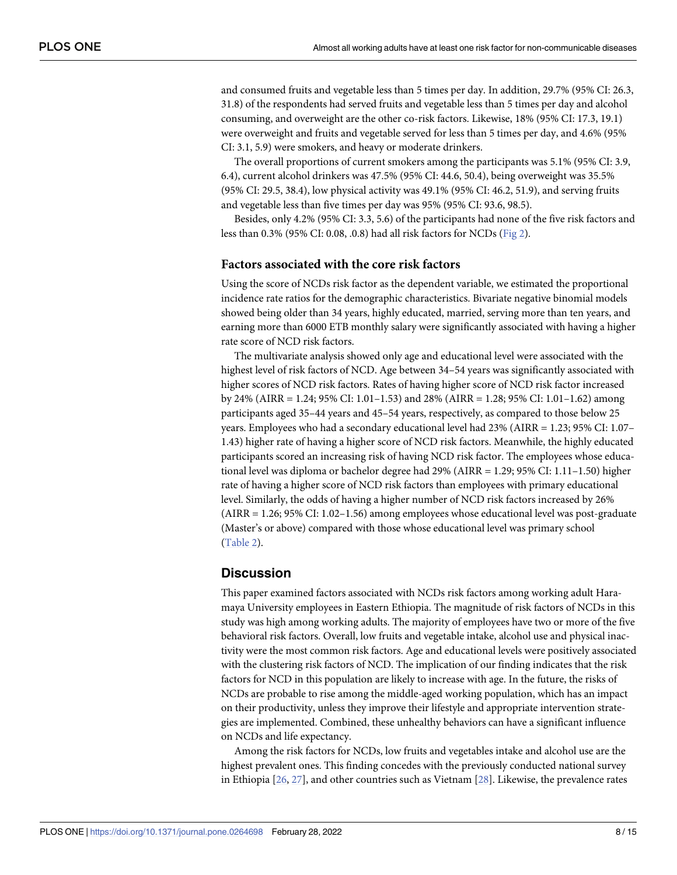<span id="page-7-0"></span>and consumed fruits and vegetable less than 5 times per day. In addition, 29.7% (95% CI: 26.3, 31.8) of the respondents had served fruits and vegetable less than 5 times per day and alcohol consuming, and overweight are the other co-risk factors. Likewise, 18% (95% CI: 17.3, 19.1) were overweight and fruits and vegetable served for less than 5 times per day, and 4.6% (95% CI: 3.1, 5.9) were smokers, and heavy or moderate drinkers.

The overall proportions of current smokers among the participants was 5.1% (95% CI: 3.9, 6.4), current alcohol drinkers was 47.5% (95% CI: 44.6, 50.4), being overweight was 35.5% (95% CI: 29.5, 38.4), low physical activity was 49.1% (95% CI: 46.2, 51.9), and serving fruits and vegetable less than five times per day was 95% (95% CI: 93.6, 98.5).

Besides, only 4.2% (95% CI: 3.3, 5.6) of the participants had none of the five risk factors and less than 0.3% (95% CI: 0.08, .0.8) had all risk factors for NCDs ([Fig](#page-8-0) 2).

#### **Factors associated with the core risk factors**

Using the score of NCDs risk factor as the dependent variable, we estimated the proportional incidence rate ratios for the demographic characteristics. Bivariate negative binomial models showed being older than 34 years, highly educated, married, serving more than ten years, and earning more than 6000 ETB monthly salary were significantly associated with having a higher rate score of NCD risk factors.

The multivariate analysis showed only age and educational level were associated with the highest level of risk factors of NCD. Age between 34–54 years was significantly associated with higher scores of NCD risk factors. Rates of having higher score of NCD risk factor increased by 24% (AIRR = 1.24; 95% CI: 1.01–1.53) and 28% (AIRR = 1.28; 95% CI: 1.01–1.62) among participants aged 35–44 years and 45–54 years, respectively, as compared to those below 25 years. Employees who had a secondary educational level had 23% (AIRR = 1.23; 95% CI: 1.07– 1.43) higher rate of having a higher score of NCD risk factors. Meanwhile, the highly educated participants scored an increasing risk of having NCD risk factor. The employees whose educational level was diploma or bachelor degree had 29% (AIRR = 1.29; 95% CI: 1.11–1.50) higher rate of having a higher score of NCD risk factors than employees with primary educational level. Similarly, the odds of having a higher number of NCD risk factors increased by 26% (AIRR = 1.26; 95% CI: 1.02–1.56) among employees whose educational level was post-graduate (Master's or above) compared with those whose educational level was primary school [\(Table](#page-9-0) 2).

#### **Discussion**

This paper examined factors associated with NCDs risk factors among working adult Haramaya University employees in Eastern Ethiopia. The magnitude of risk factors of NCDs in this study was high among working adults. The majority of employees have two or more of the five behavioral risk factors. Overall, low fruits and vegetable intake, alcohol use and physical inactivity were the most common risk factors. Age and educational levels were positively associated with the clustering risk factors of NCD. The implication of our finding indicates that the risk factors for NCD in this population are likely to increase with age. In the future, the risks of NCDs are probable to rise among the middle-aged working population, which has an impact on their productivity, unless they improve their lifestyle and appropriate intervention strategies are implemented. Combined, these unhealthy behaviors can have a significant influence on NCDs and life expectancy.

Among the risk factors for NCDs, low fruits and vegetables intake and alcohol use are the highest prevalent ones. This finding concedes with the previously conducted national survey in Ethiopia [[26](#page-13-0), [27](#page-13-0)], and other countries such as Vietnam [[28](#page-13-0)]. Likewise, the prevalence rates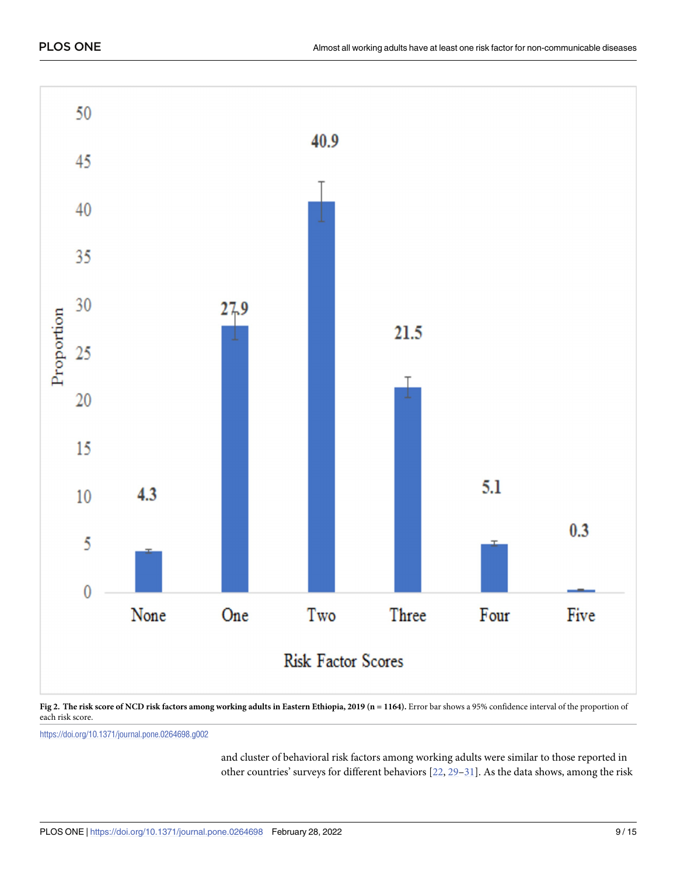<span id="page-8-0"></span>

[Fig](#page-7-0) 2. The risk score of NCD risk factors among working adults in Eastern Ethiopia, 2019 (n = 1164). Error bar shows a 95% confidence interval of the proportion of each risk score.

<https://doi.org/10.1371/journal.pone.0264698.g002>

and cluster of behavioral risk factors among working adults were similar to those reported in other countries' surveys for different behaviors [\[22,](#page-13-0) [29–](#page-13-0)[31\]](#page-14-0). As the data shows, among the risk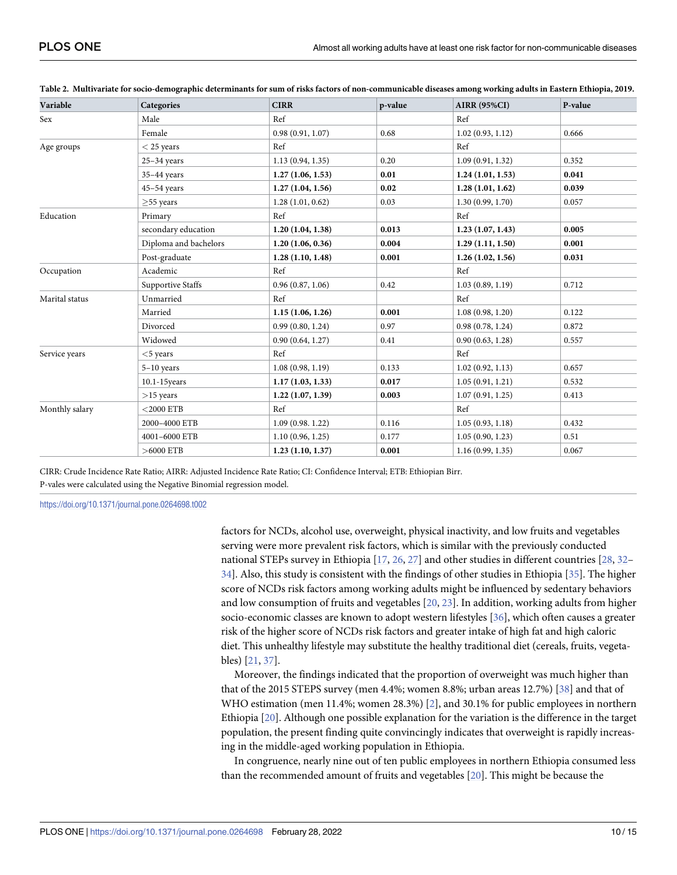| Variable       | Categories               | <b>CIRR</b>      | p-value | <b>AIRR (95%CI)</b> | P-value |
|----------------|--------------------------|------------------|---------|---------------------|---------|
| Sex            | Male                     | Ref              |         | Ref                 |         |
|                | Female                   | 0.98(0.91, 1.07) | 0.68    | 1.02(0.93, 1.12)    | 0.666   |
| Age groups     | $<$ 25 years             | Ref              |         | Ref                 |         |
|                | $25-34$ years            | 1.13(0.94, 1.35) | 0.20    | 1.09(0.91, 1.32)    | 0.352   |
|                | 35-44 years              | 1.27(1.06, 1.53) | 0.01    | 1.24(1.01, 1.53)    | 0.041   |
|                | $45 - 54$ years          | 1.27(1.04, 1.56) | 0.02    | 1.28(1.01, 1.62)    | 0.039   |
|                | $\geq$ 55 years          | 1.28(1.01, 0.62) | 0.03    | 1.30(0.99, 1.70)    | 0.057   |
| Education      | Primary                  | Ref              |         | Ref                 |         |
|                | secondary education      | 1.20(1.04, 1.38) | 0.013   | 1.23(1.07, 1.43)    | 0.005   |
|                | Diploma and bachelors    | 1.20(1.06, 0.36) | 0.004   | 1.29(1.11, 1.50)    | 0.001   |
|                | Post-graduate            | 1.28(1.10, 1.48) | 0.001   | 1.26(1.02, 1.56)    | 0.031   |
| Occupation     | Academic                 | Ref              |         | Ref                 |         |
|                | <b>Supportive Staffs</b> | 0.96(0.87, 1.06) | 0.42    | 1.03(0.89, 1.19)    | 0.712   |
| Marital status | Unmarried                | Ref              |         | Ref                 |         |
|                | Married                  | 1.15(1.06, 1.26) | 0.001   | 1.08(0.98, 1.20)    | 0.122   |
|                | Divorced                 | 0.99(0.80, 1.24) | 0.97    | 0.98(0.78, 1.24)    | 0.872   |
|                | Widowed                  | 0.90(0.64, 1.27) | 0.41    | 0.90(0.63, 1.28)    | 0.557   |
| Service years  | $<$ 5 years              | Ref              |         | Ref                 |         |
|                | $5-10$ years             | 1.08(0.98, 1.19) | 0.133   | 1.02(0.92, 1.13)    | 0.657   |
|                | $10.1 - 15$ years        | 1.17(1.03, 1.33) | 0.017   | 1.05(0.91, 1.21)    | 0.532   |
|                | $>15$ years              | 1.22(1.07, 1.39) | 0.003   | 1.07(0.91, 1.25)    | 0.413   |
| Monthly salary | $<$ 2000 ETB             | Ref              |         | Ref                 |         |
|                | 2000-4000 ETB            | 1.09(0.98.1.22)  | 0.116   | 1.05(0.93, 1.18)    | 0.432   |
|                | 4001-6000 ETB            | 1.10(0.96, 1.25) | 0.177   | 1.05(0.90, 1.23)    | 0.51    |
|                | $>6000$ ETB              | 1.23(1.10, 1.37) | 0.001   | 1.16(0.99, 1.35)    | 0.067   |

<span id="page-9-0"></span>[Table](#page-7-0) 2. Multivariate for socio-demographic determinants for sum of risks factors of non-communicable diseases among working adults in Eastern Ethiopia, 2019.

CIRR: Crude Incidence Rate Ratio; AIRR: Adjusted Incidence Rate Ratio; CI: Confidence Interval; ETB: Ethiopian Birr. P-vales were calculated using the Negative Binomial regression model.

<https://doi.org/10.1371/journal.pone.0264698.t002>

factors for NCDs, alcohol use, overweight, physical inactivity, and low fruits and vegetables serving were more prevalent risk factors, which is similar with the previously conducted national STEPs survey in Ethiopia [[17](#page-13-0), [26](#page-13-0), [27](#page-13-0)] and other studies in different countries [\[28,](#page-13-0) [32–](#page-14-0) [34\]](#page-14-0). Also, this study is consistent with the findings of other studies in Ethiopia [\[35\]](#page-14-0). The higher score of NCDs risk factors among working adults might be influenced by sedentary behaviors and low consumption of fruits and vegetables [[20](#page-13-0), [23](#page-13-0)]. In addition, working adults from higher socio-economic classes are known to adopt western lifestyles [\[36\]](#page-14-0), which often causes a greater risk of the higher score of NCDs risk factors and greater intake of high fat and high caloric diet. This unhealthy lifestyle may substitute the healthy traditional diet (cereals, fruits, vegetables) [\[21,](#page-13-0) [37\]](#page-14-0).

Moreover, the findings indicated that the proportion of overweight was much higher than that of the 2015 STEPS survey (men 4.4%; women 8.8%; urban areas 12.7%) [[38](#page-14-0)] and that of WHO estimation (men 11.4%; women [2](#page-12-0)8.3%) [2], and 30.1% for public employees in northern Ethiopia [\[20\]](#page-13-0). Although one possible explanation for the variation is the difference in the target population, the present finding quite convincingly indicates that overweight is rapidly increasing in the middle-aged working population in Ethiopia.

In congruence, nearly nine out of ten public employees in northern Ethiopia consumed less than the recommended amount of fruits and vegetables [[20](#page-13-0)]. This might be because the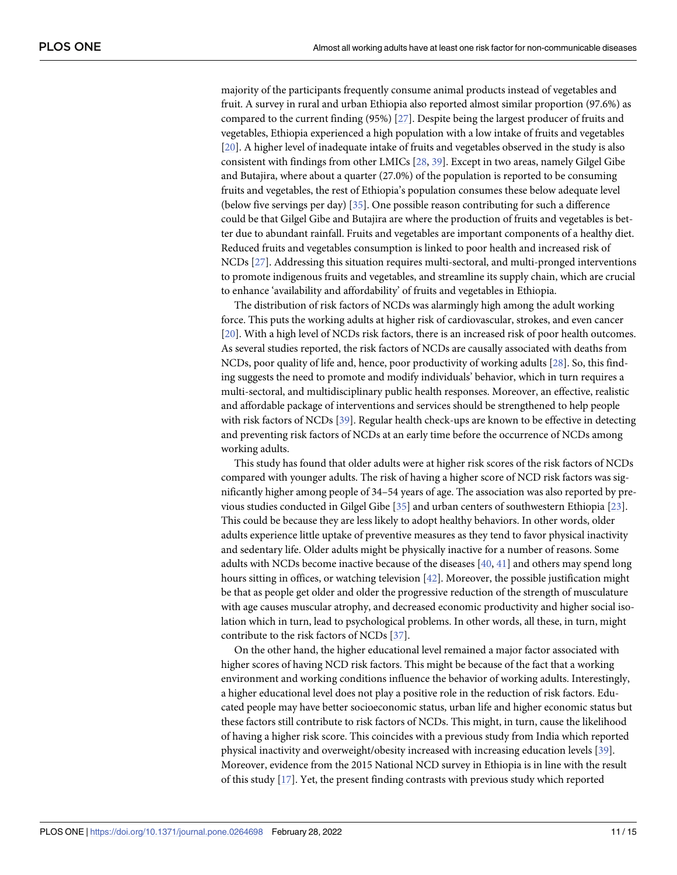<span id="page-10-0"></span>majority of the participants frequently consume animal products instead of vegetables and fruit. A survey in rural and urban Ethiopia also reported almost similar proportion (97.6%) as compared to the current finding (95%) [\[27\]](#page-13-0). Despite being the largest producer of fruits and vegetables, Ethiopia experienced a high population with a low intake of fruits and vegetables [\[20\]](#page-13-0). A higher level of inadequate intake of fruits and vegetables observed in the study is also consistent with findings from other LMICs [[28](#page-13-0), [39](#page-14-0)]. Except in two areas, namely Gilgel Gibe and Butajira, where about a quarter (27.0%) of the population is reported to be consuming fruits and vegetables, the rest of Ethiopia's population consumes these below adequate level (below five servings per day) [\[35\]](#page-14-0). One possible reason contributing for such a difference could be that Gilgel Gibe and Butajira are where the production of fruits and vegetables is better due to abundant rainfall. Fruits and vegetables are important components of a healthy diet. Reduced fruits and vegetables consumption is linked to poor health and increased risk of NCDs [[27](#page-13-0)]. Addressing this situation requires multi-sectoral, and multi-pronged interventions to promote indigenous fruits and vegetables, and streamline its supply chain, which are crucial to enhance 'availability and affordability' of fruits and vegetables in Ethiopia.

The distribution of risk factors of NCDs was alarmingly high among the adult working force. This puts the working adults at higher risk of cardiovascular, strokes, and even cancer [\[20\]](#page-13-0). With a high level of NCDs risk factors, there is an increased risk of poor health outcomes. As several studies reported, the risk factors of NCDs are causally associated with deaths from NCDs, poor quality of life and, hence, poor productivity of working adults [\[28\]](#page-13-0). So, this finding suggests the need to promote and modify individuals' behavior, which in turn requires a multi-sectoral, and multidisciplinary public health responses. Moreover, an effective, realistic and affordable package of interventions and services should be strengthened to help people with risk factors of NCDs [[39](#page-14-0)]. Regular health check-ups are known to be effective in detecting and preventing risk factors of NCDs at an early time before the occurrence of NCDs among working adults.

This study has found that older adults were at higher risk scores of the risk factors of NCDs compared with younger adults. The risk of having a higher score of NCD risk factors was significantly higher among people of 34–54 years of age. The association was also reported by previous studies conducted in Gilgel Gibe [\[35\]](#page-14-0) and urban centers of southwestern Ethiopia [[23](#page-13-0)]. This could be because they are less likely to adopt healthy behaviors. In other words, older adults experience little uptake of preventive measures as they tend to favor physical inactivity and sedentary life. Older adults might be physically inactive for a number of reasons. Some adults with NCDs become inactive because of the diseases [\[40,](#page-14-0) [41\]](#page-14-0) and others may spend long hours sitting in offices, or watching television [\[42\]](#page-14-0). Moreover, the possible justification might be that as people get older and older the progressive reduction of the strength of musculature with age causes muscular atrophy, and decreased economic productivity and higher social isolation which in turn, lead to psychological problems. In other words, all these, in turn, might contribute to the risk factors of NCDs [[37](#page-14-0)].

On the other hand, the higher educational level remained a major factor associated with higher scores of having NCD risk factors. This might be because of the fact that a working environment and working conditions influence the behavior of working adults. Interestingly, a higher educational level does not play a positive role in the reduction of risk factors. Educated people may have better socioeconomic status, urban life and higher economic status but these factors still contribute to risk factors of NCDs. This might, in turn, cause the likelihood of having a higher risk score. This coincides with a previous study from India which reported physical inactivity and overweight/obesity increased with increasing education levels [\[39\]](#page-14-0). Moreover, evidence from the 2015 National NCD survey in Ethiopia is in line with the result of this study [\[17\]](#page-13-0). Yet, the present finding contrasts with previous study which reported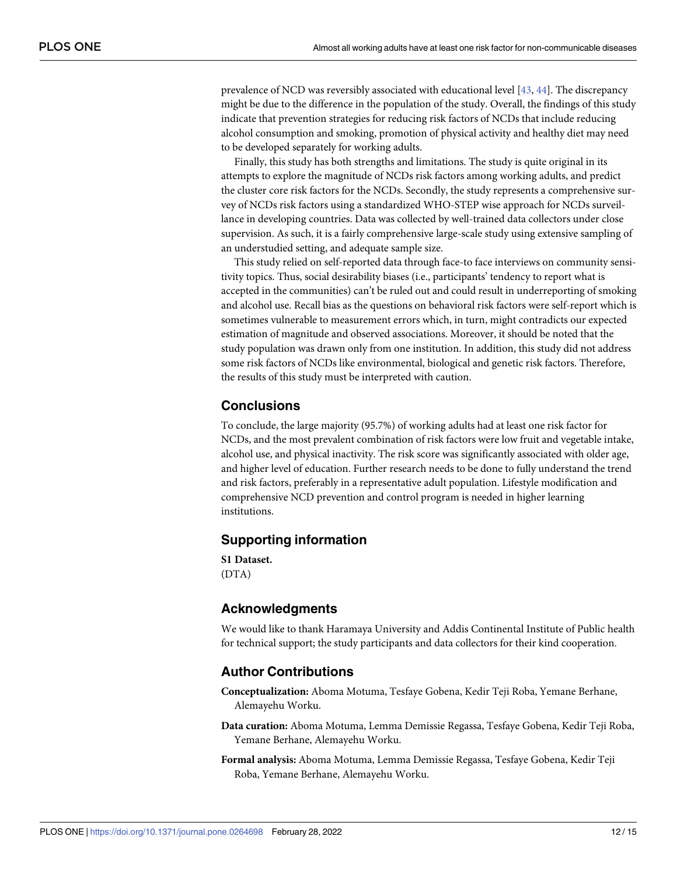<span id="page-11-0"></span>prevalence of NCD was reversibly associated with educational level [\[43,](#page-14-0) [44\]](#page-14-0). The discrepancy might be due to the difference in the population of the study. Overall, the findings of this study indicate that prevention strategies for reducing risk factors of NCDs that include reducing alcohol consumption and smoking, promotion of physical activity and healthy diet may need to be developed separately for working adults.

Finally, this study has both strengths and limitations. The study is quite original in its attempts to explore the magnitude of NCDs risk factors among working adults, and predict the cluster core risk factors for the NCDs. Secondly, the study represents a comprehensive survey of NCDs risk factors using a standardized WHO-STEP wise approach for NCDs surveillance in developing countries. Data was collected by well-trained data collectors under close supervision. As such, it is a fairly comprehensive large-scale study using extensive sampling of an understudied setting, and adequate sample size.

This study relied on self-reported data through face-to face interviews on community sensitivity topics. Thus, social desirability biases (i.e., participants' tendency to report what is accepted in the communities) can't be ruled out and could result in underreporting of smoking and alcohol use. Recall bias as the questions on behavioral risk factors were self-report which is sometimes vulnerable to measurement errors which, in turn, might contradicts our expected estimation of magnitude and observed associations. Moreover, it should be noted that the study population was drawn only from one institution. In addition, this study did not address some risk factors of NCDs like environmental, biological and genetic risk factors. Therefore, the results of this study must be interpreted with caution.

## **Conclusions**

To conclude, the large majority (95.7%) of working adults had at least one risk factor for NCDs, and the most prevalent combination of risk factors were low fruit and vegetable intake, alcohol use, and physical inactivity. The risk score was significantly associated with older age, and higher level of education. Further research needs to be done to fully understand the trend and risk factors, preferably in a representative adult population. Lifestyle modification and comprehensive NCD prevention and control program is needed in higher learning institutions.

# **Supporting information**

**S1 [Dataset.](http://www.plosone.org/article/fetchSingleRepresentation.action?uri=info:doi/10.1371/journal.pone.0264698.s001)** (DTA)

# **Acknowledgments**

We would like to thank Haramaya University and Addis Continental Institute of Public health for technical support; the study participants and data collectors for their kind cooperation.

#### **Author Contributions**

- **Conceptualization:** Aboma Motuma, Tesfaye Gobena, Kedir Teji Roba, Yemane Berhane, Alemayehu Worku.
- **Data curation:** Aboma Motuma, Lemma Demissie Regassa, Tesfaye Gobena, Kedir Teji Roba, Yemane Berhane, Alemayehu Worku.
- **Formal analysis:** Aboma Motuma, Lemma Demissie Regassa, Tesfaye Gobena, Kedir Teji Roba, Yemane Berhane, Alemayehu Worku.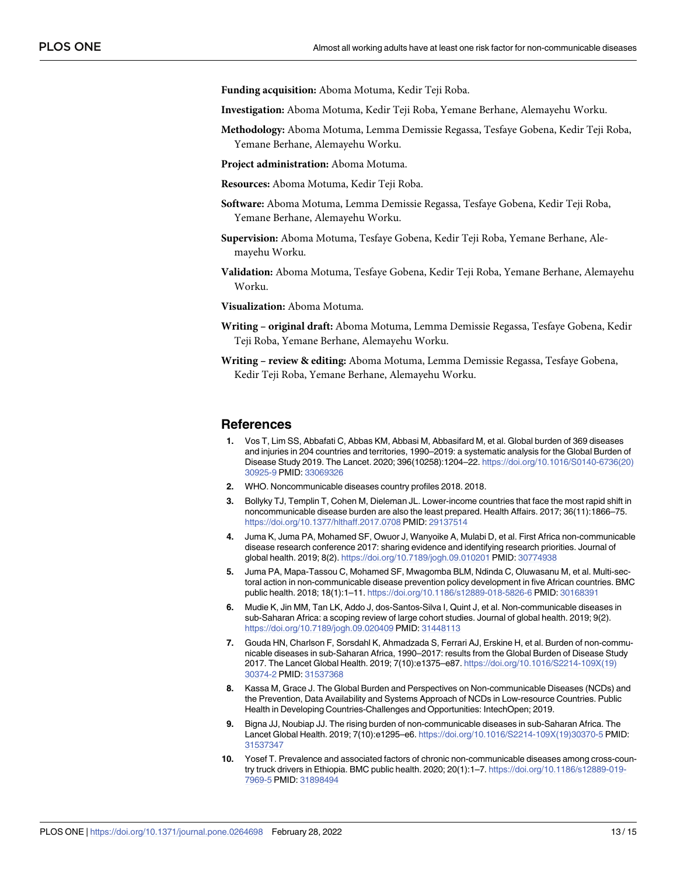<span id="page-12-0"></span>**Funding acquisition:** Aboma Motuma, Kedir Teji Roba.

**Investigation:** Aboma Motuma, Kedir Teji Roba, Yemane Berhane, Alemayehu Worku.

**Methodology:** Aboma Motuma, Lemma Demissie Regassa, Tesfaye Gobena, Kedir Teji Roba, Yemane Berhane, Alemayehu Worku.

**Project administration:** Aboma Motuma.

**Resources:** Aboma Motuma, Kedir Teji Roba.

- **Software:** Aboma Motuma, Lemma Demissie Regassa, Tesfaye Gobena, Kedir Teji Roba, Yemane Berhane, Alemayehu Worku.
- **Supervision:** Aboma Motuma, Tesfaye Gobena, Kedir Teji Roba, Yemane Berhane, Alemayehu Worku.
- **Validation:** Aboma Motuma, Tesfaye Gobena, Kedir Teji Roba, Yemane Berhane, Alemayehu Worku.

**Visualization:** Aboma Motuma.

- **Writing – original draft:** Aboma Motuma, Lemma Demissie Regassa, Tesfaye Gobena, Kedir Teji Roba, Yemane Berhane, Alemayehu Worku.
- **Writing – review & editing:** Aboma Motuma, Lemma Demissie Regassa, Tesfaye Gobena, Kedir Teji Roba, Yemane Berhane, Alemayehu Worku.

#### **References**

- **[1](#page-1-0).** Vos T, Lim SS, Abbafati C, Abbas KM, Abbasi M, Abbasifard M, et al. Global burden of 369 diseases and injuries in 204 countries and territories, 1990–2019: a systematic analysis for the Global Burden of Disease Study 2019. The Lancet. 2020; 396(10258):1204–22. [https://doi.org/10.1016/S0140-6736\(20\)](https://doi.org/10.1016/S0140-6736(20)30925-9) [30925-9](https://doi.org/10.1016/S0140-6736(20)30925-9) PMID: [33069326](http://www.ncbi.nlm.nih.gov/pubmed/33069326)
- **[2](#page-1-0).** WHO. Noncommunicable diseases country profiles 2018. 2018.
- **3.** Bollyky TJ, Templin T, Cohen M, Dieleman JL. Lower-income countries that face the most rapid shift in noncommunicable disease burden are also the least prepared. Health Affairs. 2017; 36(11):1866–75. <https://doi.org/10.1377/hlthaff.2017.0708> PMID: [29137514](http://www.ncbi.nlm.nih.gov/pubmed/29137514)
- **[4](#page-1-0).** Juma K, Juma PA, Mohamed SF, Owuor J, Wanyoike A, Mulabi D, et al. First Africa non-communicable disease research conference 2017: sharing evidence and identifying research priorities. Journal of global health. 2019; 8(2). <https://doi.org/10.7189/jogh.09.010201> PMID: [30774938](http://www.ncbi.nlm.nih.gov/pubmed/30774938)
- **[5](#page-1-0).** Juma PA, Mapa-Tassou C, Mohamed SF, Mwagomba BLM, Ndinda C, Oluwasanu M, et al. Multi-sectoral action in non-communicable disease prevention policy development in five African countries. BMC public health. 2018; 18(1):1–11. <https://doi.org/10.1186/s12889-018-5826-6> PMID: [30168391](http://www.ncbi.nlm.nih.gov/pubmed/30168391)
- **[6](#page-1-0).** Mudie K, Jin MM, Tan LK, Addo J, dos-Santos-Silva I, Quint J, et al. Non-communicable diseases in sub-Saharan Africa: a scoping review of large cohort studies. Journal of global health. 2019; 9(2). <https://doi.org/10.7189/jogh.09.020409> PMID: [31448113](http://www.ncbi.nlm.nih.gov/pubmed/31448113)
- **[7](#page-1-0).** Gouda HN, Charlson F, Sorsdahl K, Ahmadzada S, Ferrari AJ, Erskine H, et al. Burden of non-communicable diseases in sub-Saharan Africa, 1990–2017: results from the Global Burden of Disease Study 2017. The Lancet Global Health. 2019; 7(10):e1375–e87. [https://doi.org/10.1016/S2214-109X\(19\)](https://doi.org/10.1016/S2214-109X(19)30374-2) [30374-2](https://doi.org/10.1016/S2214-109X(19)30374-2) PMID: [31537368](http://www.ncbi.nlm.nih.gov/pubmed/31537368)
- **[8](#page-1-0).** Kassa M, Grace J. The Global Burden and Perspectives on Non-communicable Diseases (NCDs) and the Prevention, Data Availability and Systems Approach of NCDs in Low-resource Countries. Public Health in Developing Countries-Challenges and Opportunities: IntechOpen; 2019.
- **[9](#page-1-0).** Bigna JJ, Noubiap JJ. The rising burden of non-communicable diseases in sub-Saharan Africa. The Lancet Global Health. 2019; 7(10):e1295–e6. [https://doi.org/10.1016/S2214-109X\(19\)30370-5](https://doi.org/10.1016/S2214-109X(19)30370-5) PMID: [31537347](http://www.ncbi.nlm.nih.gov/pubmed/31537347)
- **[10](#page-1-0).** Yosef T. Prevalence and associated factors of chronic non-communicable diseases among cross-country truck drivers in Ethiopia. BMC public health. 2020; 20(1):1–7. [https://doi.org/10.1186/s12889-019-](https://doi.org/10.1186/s12889-019-7969-5) [7969-5](https://doi.org/10.1186/s12889-019-7969-5) PMID: [31898494](http://www.ncbi.nlm.nih.gov/pubmed/31898494)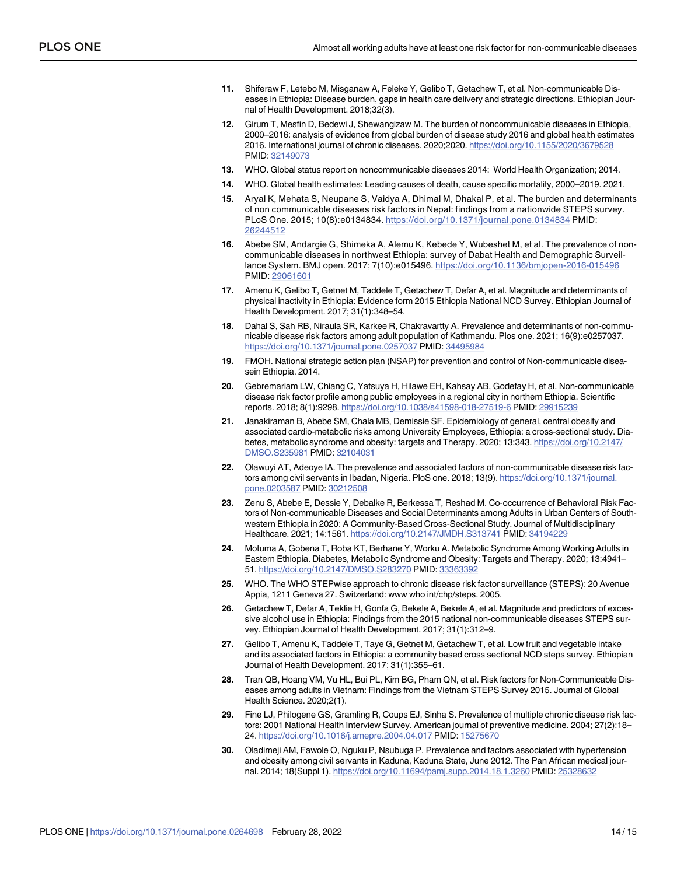- <span id="page-13-0"></span>**[11](#page-1-0).** Shiferaw F, Letebo M, Misganaw A, Feleke Y, Gelibo T, Getachew T, et al. Non-communicable Diseases in Ethiopia: Disease burden, gaps in health care delivery and strategic directions. Ethiopian Journal of Health Development. 2018;32(3).
- **[12](#page-1-0).** Girum T, Mesfin D, Bedewi J, Shewangizaw M. The burden of noncommunicable diseases in Ethiopia, 2000–2016: analysis of evidence from global burden of disease study 2016 and global health estimates 2016. International journal of chronic diseases. 2020;2020. <https://doi.org/10.1155/2020/3679528> PMID: [32149073](http://www.ncbi.nlm.nih.gov/pubmed/32149073)
- **[13](#page-1-0).** WHO. Global status report on noncommunicable diseases 2014: World Health Organization; 2014.
- **[14](#page-1-0).** WHO. Global health estimates: Leading causes of death, cause specific mortality, 2000–2019. 2021.
- **[15](#page-2-0).** Aryal K, Mehata S, Neupane S, Vaidya A, Dhimal M, Dhakal P, et al. The burden and determinants of non communicable diseases risk factors in Nepal: findings from a nationwide STEPS survey. PLoS One. 2015; 10(8):e0134834. <https://doi.org/10.1371/journal.pone.0134834> PMID: [26244512](http://www.ncbi.nlm.nih.gov/pubmed/26244512)
- **16.** Abebe SM, Andargie G, Shimeka A, Alemu K, Kebede Y, Wubeshet M, et al. The prevalence of noncommunicable diseases in northwest Ethiopia: survey of Dabat Health and Demographic Surveillance System. BMJ open. 2017; 7(10):e015496. <https://doi.org/10.1136/bmjopen-2016-015496> PMID: [29061601](http://www.ncbi.nlm.nih.gov/pubmed/29061601)
- **[17](#page-9-0).** Amenu K, Gelibo T, Getnet M, Taddele T, Getachew T, Defar A, et al. Magnitude and determinants of physical inactivity in Ethiopia: Evidence form 2015 Ethiopia National NCD Survey. Ethiopian Journal of Health Development. 2017; 31(1):348–54.
- **[18](#page-2-0).** Dahal S, Sah RB, Niraula SR, Karkee R, Chakravartty A. Prevalence and determinants of non-communicable disease risk factors among adult population of Kathmandu. Plos one. 2021; 16(9):e0257037. <https://doi.org/10.1371/journal.pone.0257037> PMID: [34495984](http://www.ncbi.nlm.nih.gov/pubmed/34495984)
- **[19](#page-2-0).** FMOH. National strategic action plan (NSAP) for prevention and control of Non-communicable diseasein Ethiopia. 2014.
- **[20](#page-2-0).** Gebremariam LW, Chiang C, Yatsuya H, Hilawe EH, Kahsay AB, Godefay H, et al. Non-communicable disease risk factor profile among public employees in a regional city in northern Ethiopia. Scientific reports. 2018; 8(1):9298. <https://doi.org/10.1038/s41598-018-27519-6> PMID: [29915239](http://www.ncbi.nlm.nih.gov/pubmed/29915239)
- **[21](#page-9-0).** Janakiraman B, Abebe SM, Chala MB, Demissie SF. Epidemiology of general, central obesity and associated cardio-metabolic risks among University Employees, Ethiopia: a cross-sectional study. Diabetes, metabolic syndrome and obesity: targets and Therapy. 2020; 13:343. [https://doi.org/10.2147/](https://doi.org/10.2147/DMSO.S235981) [DMSO.S235981](https://doi.org/10.2147/DMSO.S235981) PMID: [32104031](http://www.ncbi.nlm.nih.gov/pubmed/32104031)
- **[22](#page-8-0).** Olawuyi AT, Adeoye IA. The prevalence and associated factors of non-communicable disease risk factors among civil servants in Ibadan, Nigeria. PloS one. 2018; 13(9). [https://doi.org/10.1371/journal.](https://doi.org/10.1371/journal.pone.0203587) [pone.0203587](https://doi.org/10.1371/journal.pone.0203587) PMID: [30212508](http://www.ncbi.nlm.nih.gov/pubmed/30212508)
- **[23](#page-10-0).** Zenu S, Abebe E, Dessie Y, Debalke R, Berkessa T, Reshad M. Co-occurrence of Behavioral Risk Factors of Non-communicable Diseases and Social Determinants among Adults in Urban Centers of Southwestern Ethiopia in 2020: A Community-Based Cross-Sectional Study. Journal of Multidisciplinary Healthcare. 2021; 14:1561. <https://doi.org/10.2147/JMDH.S313741> PMID: [34194229](http://www.ncbi.nlm.nih.gov/pubmed/34194229)
- **[24](#page-3-0).** Motuma A, Gobena T, Roba KT, Berhane Y, Worku A. Metabolic Syndrome Among Working Adults in Eastern Ethiopia. Diabetes, Metabolic Syndrome and Obesity: Targets and Therapy. 2020; 13:4941– 51. <https://doi.org/10.2147/DMSO.S283270> PMID: [33363392](http://www.ncbi.nlm.nih.gov/pubmed/33363392)
- **[25](#page-3-0).** WHO. The WHO STEPwise approach to chronic disease risk factor surveillance (STEPS): 20 Avenue Appia, 1211 Geneva 27. Switzerland: www who int/chp/steps. 2005.
- **[26](#page-7-0).** Getachew T, Defar A, Teklie H, Gonfa G, Bekele A, Bekele A, et al. Magnitude and predictors of excessive alcohol use in Ethiopia: Findings from the 2015 national non-communicable diseases STEPS survey. Ethiopian Journal of Health Development. 2017; 31(1):312–9.
- **[27](#page-10-0).** Gelibo T, Amenu K, Taddele T, Taye G, Getnet M, Getachew T, et al. Low fruit and vegetable intake and its associated factors in Ethiopia: a community based cross sectional NCD steps survey. Ethiopian Journal of Health Development. 2017; 31(1):355–61.
- **[28](#page-9-0).** Tran QB, Hoang VM, Vu HL, Bui PL, Kim BG, Pham QN, et al. Risk factors for Non-Communicable Diseases among adults in Vietnam: Findings from the Vietnam STEPS Survey 2015. Journal of Global Health Science. 2020;2(1).
- **[29](#page-8-0).** Fine LJ, Philogene GS, Gramling R, Coups EJ, Sinha S. Prevalence of multiple chronic disease risk factors: 2001 National Health Interview Survey. American journal of preventive medicine. 2004; 27(2):18– 24. <https://doi.org/10.1016/j.amepre.2004.04.017> PMID: [15275670](http://www.ncbi.nlm.nih.gov/pubmed/15275670)
- **30.** Oladimeji AM, Fawole O, Nguku P, Nsubuga P. Prevalence and factors associated with hypertension and obesity among civil servants in Kaduna, Kaduna State, June 2012. The Pan African medical journal. 2014; 18(Suppl 1). <https://doi.org/10.11694/pamj.supp.2014.18.1.3260> PMID: [25328632](http://www.ncbi.nlm.nih.gov/pubmed/25328632)